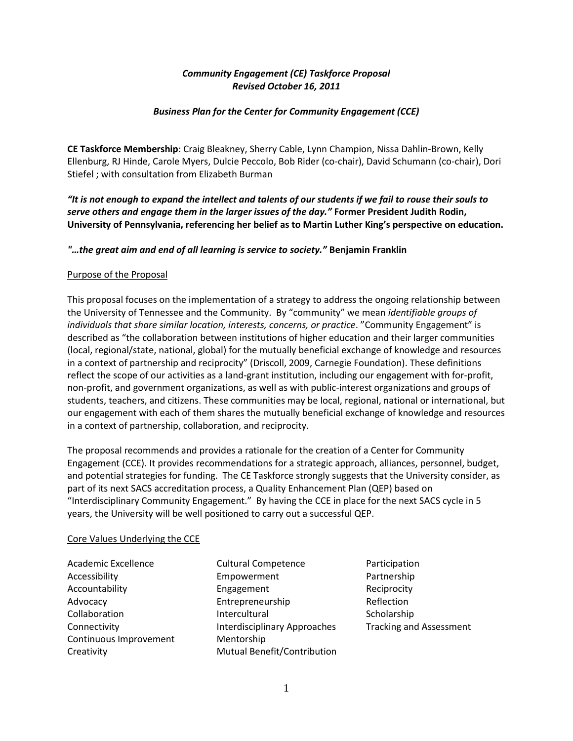# *Community Engagement (CE) Taskforce Proposal Revised October 16, 2011*

## *Business Plan for the Center for Community Engagement (CCE)*

**CE Taskforce Membership**: Craig Bleakney, Sherry Cable, Lynn Champion, Nissa Dahlin-Brown, Kelly Ellenburg, RJ Hinde, Carole Myers, Dulcie Peccolo, Bob Rider (co-chair), David Schumann (co-chair), Dori Stiefel ; with consultation from Elizabeth Burman

*"It is not enough to expand the intellect and talents of our students if we fail to rouse their souls to serve others and engage them in the larger issues of the day."* **Former President Judith Rodin, University of Pennsylvania, referencing her belief as to Martin Luther King's perspective on education.** 

## *"…the great aim and end of all learning is service to society."* **Benjamin Franklin**

### Purpose of the Proposal

This proposal focuses on the implementation of a strategy to address the ongoing relationship between the University of Tennessee and the Community. By "community" we mean *identifiable groups of individuals that share similar location, interests, concerns, or practice*. "Community Engagement" is described as "the collaboration between institutions of higher education and their larger communities (local, regional/state, national, global) for the mutually beneficial exchange of knowledge and resources in a context of partnership and reciprocity" (Driscoll, 2009, Carnegie Foundation). These definitions reflect the scope of our activities as a land-grant institution, including our engagement with for-profit, non-profit, and government organizations, as well as with public-interest organizations and groups of students, teachers, and citizens. These communities may be local, regional, national or international, but our engagement with each of them shares the mutually beneficial exchange of knowledge and resources in a context of partnership, collaboration, and reciprocity.

The proposal recommends and provides a rationale for the creation of a Center for Community Engagement (CCE). It provides recommendations for a strategic approach, alliances, personnel, budget, and potential strategies for funding. The CE Taskforce strongly suggests that the University consider, as part of its next SACS accreditation process, a Quality Enhancement Plan (QEP) based on "Interdisciplinary Community Engagement." By having the CCE in place for the next SACS cycle in 5 years, the University will be well positioned to carry out a successful QEP.

### Core Values Underlying the CCE

Continuous Improvement Mentorship

Academic Excellence **Cultural Competence** Participation Accessibility **Empowerment** Partnership Accountability **Engagement** Engagement Reciprocity Advocacy **Entrepreneurship** Reflection Collaboration Intercultural Scholarship Connectivity **Interdisciplinary Approaches** Tracking and Assessment Creativity Mutual Benefit/Contribution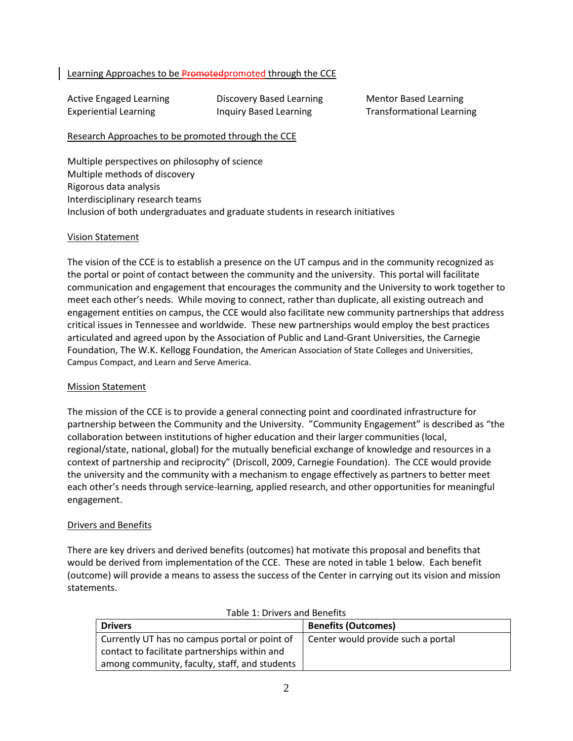## Learning Approaches to be Promoted promoted through the CCE

Active Engaged Learning **Discovery Based Learning Mentor Based Learning** Experiential Learning Transformational Learning Transformational Learning

## Research Approaches to be promoted through the CCE

Multiple perspectives on philosophy of science Multiple methods of discovery Rigorous data analysis Interdisciplinary research teams Inclusion of both undergraduates and graduate students in research initiatives

### Vision Statement

The vision of the CCE is to establish a presence on the UT campus and in the community recognized as the portal or point of contact between the community and the university. This portal will facilitate communication and engagement that encourages the community and the University to work together to meet each other's needs. While moving to connect, rather than duplicate, all existing outreach and engagement entities on campus, the CCE would also facilitate new community partnerships that address critical issues in Tennessee and worldwide. These new partnerships would employ the best practices articulated and agreed upon by the Association of Public and Land-Grant Universities, the Carnegie Foundation, The W.K. Kellogg Foundation, the American Association of State Colleges and Universities, Campus Compact, and Learn and Serve America.

### Mission Statement

The mission of the CCE is to provide a general connecting point and coordinated infrastructure for partnership between the Community and the University. "Community Engagement" is described as "the collaboration between institutions of higher education and their larger communities (local, regional/state, national, global) for the mutually beneficial exchange of knowledge and resources in a context of partnership and reciprocity" (Driscoll, 2009, Carnegie Foundation). The CCE would provide the university and the community with a mechanism to engage effectively as partners to better meet each other's needs through service-learning, applied research, and other opportunities for meaningful engagement.

## Drivers and Benefits

There are key drivers and derived benefits (outcomes) hat motivate this proposal and benefits that would be derived from implementation of the CCE. These are noted in table 1 below. Each benefit (outcome) will provide a means to assess the success of the Center in carrying out its vision and mission statements.

| Table 1. DITVETS and Defients                                                                  |                                    |  |  |  |  |
|------------------------------------------------------------------------------------------------|------------------------------------|--|--|--|--|
| <b>Drivers</b>                                                                                 | <b>Benefits (Outcomes)</b>         |  |  |  |  |
| Currently UT has no campus portal or point of<br>contact to facilitate partnerships within and | Center would provide such a portal |  |  |  |  |
| among community, faculty, staff, and students                                                  |                                    |  |  |  |  |

| Table 1: Drivers and Benefits |  |
|-------------------------------|--|
|-------------------------------|--|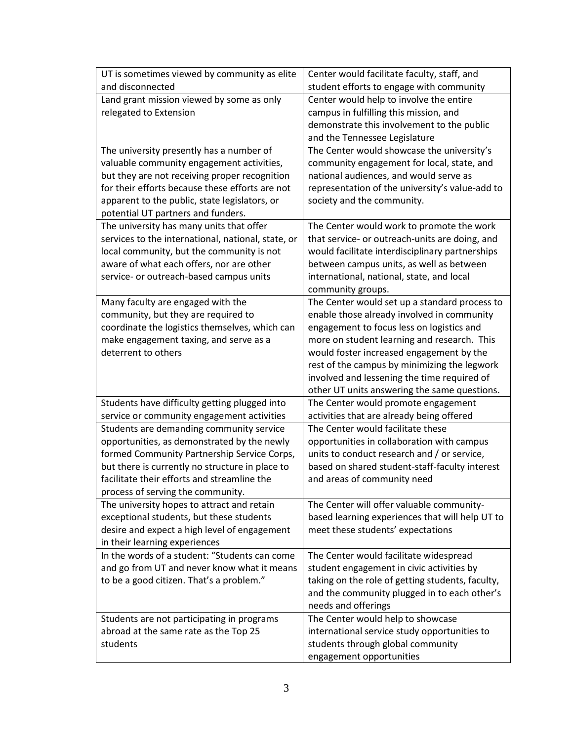| UT is sometimes viewed by community as elite                                            | Center would facilitate faculty, staff, and                                               |
|-----------------------------------------------------------------------------------------|-------------------------------------------------------------------------------------------|
| and disconnected                                                                        | student efforts to engage with community                                                  |
| Land grant mission viewed by some as only                                               | Center would help to involve the entire                                                   |
| relegated to Extension                                                                  | campus in fulfilling this mission, and                                                    |
|                                                                                         | demonstrate this involvement to the public                                                |
|                                                                                         | and the Tennessee Legislature                                                             |
| The university presently has a number of                                                | The Center would showcase the university's                                                |
| valuable community engagement activities,                                               | community engagement for local, state, and                                                |
| but they are not receiving proper recognition                                           | national audiences, and would serve as                                                    |
| for their efforts because these efforts are not                                         | representation of the university's value-add to                                           |
| apparent to the public, state legislators, or<br>potential UT partners and funders.     | society and the community.                                                                |
| The university has many units that offer                                                | The Center would work to promote the work                                                 |
| services to the international, national, state, or                                      | that service- or outreach-units are doing, and                                            |
| local community, but the community is not                                               | would facilitate interdisciplinary partnerships                                           |
| aware of what each offers, nor are other                                                | between campus units, as well as between                                                  |
| service- or outreach-based campus units                                                 | international, national, state, and local                                                 |
|                                                                                         | community groups.                                                                         |
| Many faculty are engaged with the                                                       | The Center would set up a standard process to                                             |
| community, but they are required to                                                     | enable those already involved in community                                                |
| coordinate the logistics themselves, which can                                          | engagement to focus less on logistics and                                                 |
| make engagement taxing, and serve as a                                                  | more on student learning and research. This                                               |
| deterrent to others                                                                     | would foster increased engagement by the                                                  |
|                                                                                         | rest of the campus by minimizing the legwork                                              |
|                                                                                         | involved and lessening the time required of                                               |
|                                                                                         | other UT units answering the same questions.                                              |
| Students have difficulty getting plugged into                                           | The Center would promote engagement                                                       |
| service or community engagement activities                                              | activities that are already being offered                                                 |
| Students are demanding community service<br>opportunities, as demonstrated by the newly | The Center would facilitate these                                                         |
| formed Community Partnership Service Corps,                                             | opportunities in collaboration with campus<br>units to conduct research and / or service, |
| but there is currently no structure in place to                                         | based on shared student-staff-faculty interest                                            |
| facilitate their efforts and streamline the                                             | and areas of community need                                                               |
| process of serving the community.                                                       |                                                                                           |
| The university hopes to attract and retain                                              | The Center will offer valuable community-                                                 |
| exceptional students, but these students                                                | based learning experiences that will help UT to                                           |
| desire and expect a high level of engagement                                            | meet these students' expectations                                                         |
| in their learning experiences                                                           |                                                                                           |
| In the words of a student: "Students can come                                           | The Center would facilitate widespread                                                    |
| and go from UT and never know what it means                                             | student engagement in civic activities by                                                 |
| to be a good citizen. That's a problem."                                                | taking on the role of getting students, faculty,                                          |
|                                                                                         | and the community plugged in to each other's                                              |
|                                                                                         | needs and offerings                                                                       |
| Students are not participating in programs                                              | The Center would help to showcase                                                         |
| abroad at the same rate as the Top 25                                                   | international service study opportunities to                                              |
| students                                                                                | students through global community                                                         |
|                                                                                         | engagement opportunities                                                                  |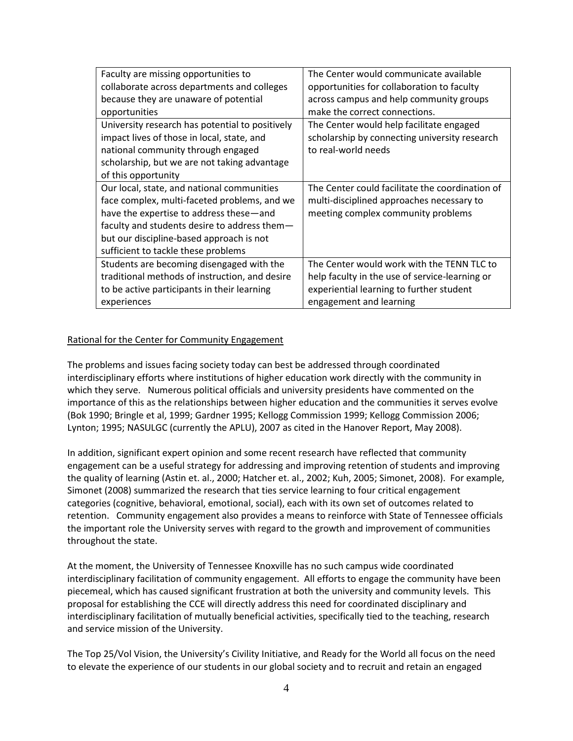| Faculty are missing opportunities to            | The Center would communicate available          |
|-------------------------------------------------|-------------------------------------------------|
| collaborate across departments and colleges     | opportunities for collaboration to faculty      |
| because they are unaware of potential           | across campus and help community groups         |
| opportunities                                   | make the correct connections.                   |
| University research has potential to positively | The Center would help facilitate engaged        |
| impact lives of those in local, state, and      | scholarship by connecting university research   |
| national community through engaged              | to real-world needs                             |
| scholarship, but we are not taking advantage    |                                                 |
| of this opportunity                             |                                                 |
| Our local, state, and national communities      | The Center could facilitate the coordination of |
| face complex, multi-faceted problems, and we    | multi-disciplined approaches necessary to       |
| have the expertise to address these—and         | meeting complex community problems              |
| faculty and students desire to address them $-$ |                                                 |
| but our discipline-based approach is not        |                                                 |
| sufficient to tackle these problems             |                                                 |
| Students are becoming disengaged with the       | The Center would work with the TENN TLC to      |
| traditional methods of instruction, and desire  | help faculty in the use of service-learning or  |
| to be active participants in their learning     | experiential learning to further student        |
| experiences                                     | engagement and learning                         |

## Rational for the Center for Community Engagement

The problems and issues facing society today can best be addressed through coordinated interdisciplinary efforts where institutions of higher education work directly with the community in which they serve. Numerous political officials and university presidents have commented on the importance of this as the relationships between higher education and the communities it serves evolve (Bok 1990; Bringle et al, 1999; Gardner 1995; Kellogg Commission 1999; Kellogg Commission 2006; Lynton; 1995; NASULGC (currently the APLU), 2007 as cited in the Hanover Report, May 2008).

In addition, significant expert opinion and some recent research have reflected that community engagement can be a useful strategy for addressing and improving retention of students and improving the quality of learning (Astin et. al., 2000; Hatcher et. al., 2002; Kuh, 2005; Simonet, 2008). For example, Simonet (2008) summarized the research that ties service learning to four critical engagement categories (cognitive, behavioral, emotional, social), each with its own set of outcomes related to retention. Community engagement also provides a means to reinforce with State of Tennessee officials the important role the University serves with regard to the growth and improvement of communities throughout the state.

At the moment, the University of Tennessee Knoxville has no such campus wide coordinated interdisciplinary facilitation of community engagement. All efforts to engage the community have been piecemeal, which has caused significant frustration at both the university and community levels. This proposal for establishing the CCE will directly address this need for coordinated disciplinary and interdisciplinary facilitation of mutually beneficial activities, specifically tied to the teaching, research and service mission of the University.

The Top 25/Vol Vision, the University's Civility Initiative, and Ready for the World all focus on the need to elevate the experience of our students in our global society and to recruit and retain an engaged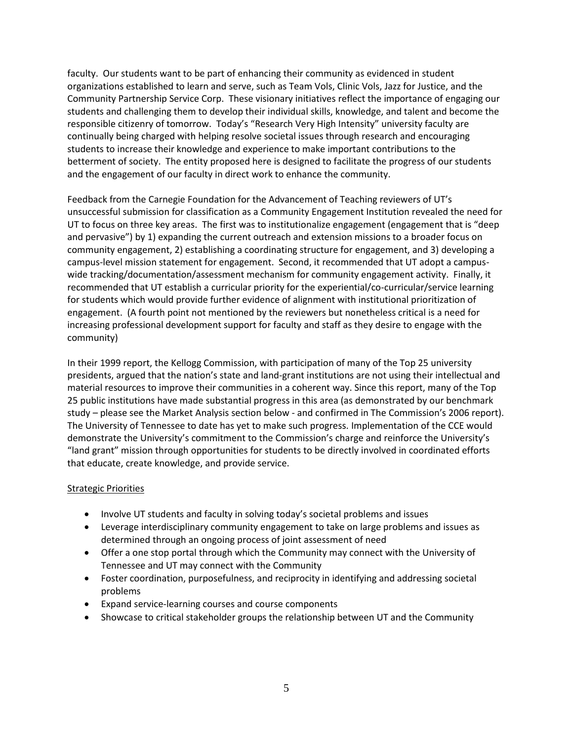faculty. Our students want to be part of enhancing their community as evidenced in student organizations established to learn and serve, such as Team Vols, Clinic Vols, Jazz for Justice, and the Community Partnership Service Corp. These visionary initiatives reflect the importance of engaging our students and challenging them to develop their individual skills, knowledge, and talent and become the responsible citizenry of tomorrow. Today's "Research Very High Intensity" university faculty are continually being charged with helping resolve societal issues through research and encouraging students to increase their knowledge and experience to make important contributions to the betterment of society. The entity proposed here is designed to facilitate the progress of our students and the engagement of our faculty in direct work to enhance the community.

Feedback from the Carnegie Foundation for the Advancement of Teaching reviewers of UT's unsuccessful submission for classification as a Community Engagement Institution revealed the need for UT to focus on three key areas. The first was to institutionalize engagement (engagement that is "deep and pervasive") by 1) expanding the current outreach and extension missions to a broader focus on community engagement, 2) establishing a coordinating structure for engagement, and 3) developing a campus-level mission statement for engagement. Second, it recommended that UT adopt a campuswide tracking/documentation/assessment mechanism for community engagement activity. Finally, it recommended that UT establish a curricular priority for the experiential/co-curricular/service learning for students which would provide further evidence of alignment with institutional prioritization of engagement. (A fourth point not mentioned by the reviewers but nonetheless critical is a need for increasing professional development support for faculty and staff as they desire to engage with the community)

In their 1999 report, the Kellogg Commission, with participation of many of the Top 25 university presidents, argued that the nation's state and land-grant institutions are not using their intellectual and material resources to improve their communities in a coherent way. Since this report, many of the Top 25 public institutions have made substantial progress in this area (as demonstrated by our benchmark study – please see the Market Analysis section below - and confirmed in The Commission's 2006 report). The University of Tennessee to date has yet to make such progress. Implementation of the CCE would demonstrate the University's commitment to the Commission's charge and reinforce the University's "land grant" mission through opportunities for students to be directly involved in coordinated efforts that educate, create knowledge, and provide service.

## Strategic Priorities

- Involve UT students and faculty in solving today's societal problems and issues
- Leverage interdisciplinary community engagement to take on large problems and issues as determined through an ongoing process of joint assessment of need
- Offer a one stop portal through which the Community may connect with the University of Tennessee and UT may connect with the Community
- Foster coordination, purposefulness, and reciprocity in identifying and addressing societal problems
- Expand service-learning courses and course components
- Showcase to critical stakeholder groups the relationship between UT and the Community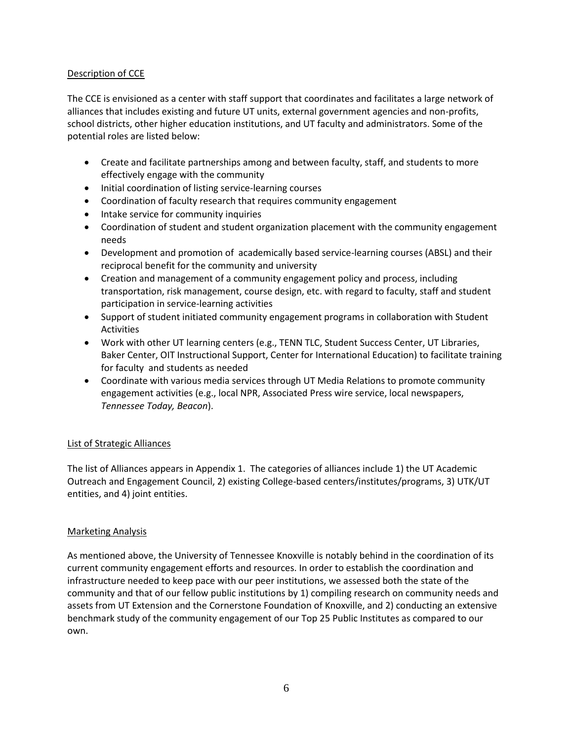# Description of CCE

The CCE is envisioned as a center with staff support that coordinates and facilitates a large network of alliances that includes existing and future UT units, external government agencies and non-profits, school districts, other higher education institutions, and UT faculty and administrators. Some of the potential roles are listed below:

- Create and facilitate partnerships among and between faculty, staff, and students to more effectively engage with the community
- Initial coordination of listing service-learning courses
- Coordination of faculty research that requires community engagement
- Intake service for community inquiries
- Coordination of student and student organization placement with the community engagement needs
- Development and promotion of academically based service-learning courses (ABSL) and their reciprocal benefit for the community and university
- Creation and management of a community engagement policy and process, including transportation, risk management, course design, etc. with regard to faculty, staff and student participation in service-learning activities
- Support of student initiated community engagement programs in collaboration with Student Activities
- Work with other UT learning centers (e.g., TENN TLC, Student Success Center, UT Libraries, Baker Center, OIT Instructional Support, Center for International Education) to facilitate training for faculty and students as needed
- Coordinate with various media services through UT Media Relations to promote community engagement activities (e.g., local NPR, Associated Press wire service, local newspapers, *Tennessee Today, Beacon*).

# List of Strategic Alliances

The list of Alliances appears in Appendix 1. The categories of alliances include 1) the UT Academic Outreach and Engagement Council, 2) existing College-based centers/institutes/programs, 3) UTK/UT entities, and 4) joint entities.

## Marketing Analysis

As mentioned above, the University of Tennessee Knoxville is notably behind in the coordination of its current community engagement efforts and resources. In order to establish the coordination and infrastructure needed to keep pace with our peer institutions, we assessed both the state of the community and that of our fellow public institutions by 1) compiling research on community needs and assets from UT Extension and the Cornerstone Foundation of Knoxville, and 2) conducting an extensive benchmark study of the community engagement of our Top 25 Public Institutes as compared to our own.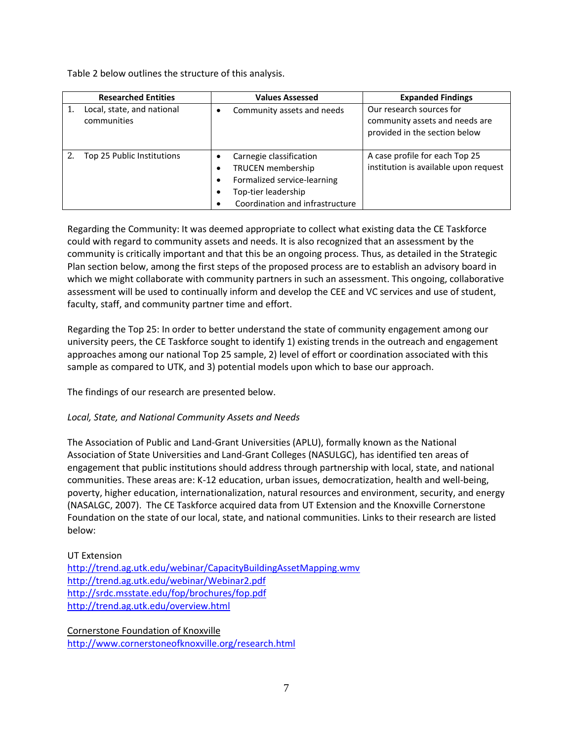Table 2 below outlines the structure of this analysis.

| <b>Researched Entities</b> |                                           |  | <b>Values Assessed</b>                                                                                                                       | <b>Expanded Findings</b>                                                                    |  |  |
|----------------------------|-------------------------------------------|--|----------------------------------------------------------------------------------------------------------------------------------------------|---------------------------------------------------------------------------------------------|--|--|
|                            | Local, state, and national<br>communities |  | Community assets and needs                                                                                                                   | Our research sources for<br>community assets and needs are<br>provided in the section below |  |  |
|                            | Top 25 Public Institutions                |  | Carnegie classification<br><b>TRUCEN</b> membership<br>Formalized service-learning<br>Top-tier leadership<br>Coordination and infrastructure | A case profile for each Top 25<br>institution is available upon request                     |  |  |

Regarding the Community: It was deemed appropriate to collect what existing data the CE Taskforce could with regard to community assets and needs. It is also recognized that an assessment by the community is critically important and that this be an ongoing process. Thus, as detailed in the Strategic Plan section below, among the first steps of the proposed process are to establish an advisory board in which we might collaborate with community partners in such an assessment. This ongoing, collaborative assessment will be used to continually inform and develop the CEE and VC services and use of student, faculty, staff, and community partner time and effort.

Regarding the Top 25: In order to better understand the state of community engagement among our university peers, the CE Taskforce sought to identify 1) existing trends in the outreach and engagement approaches among our national Top 25 sample, 2) level of effort or coordination associated with this sample as compared to UTK, and 3) potential models upon which to base our approach.

The findings of our research are presented below.

# *Local, State, and National Community Assets and Needs*

The Association of Public and Land-Grant Universities (APLU), formally known as the National Association of State Universities and Land-Grant Colleges (NASULGC), has identified ten areas of engagement that public institutions should address through partnership with local, state, and national communities. These areas are: K-12 education, urban issues, democratization, health and well-being, poverty, higher education, internationalization, natural resources and environment, security, and energy (NASALGC, 2007). The CE Taskforce acquired data from UT Extension and the Knoxville Cornerstone Foundation on the state of our local, state, and national communities. Links to their research are listed below:

UT Extension <http://trend.ag.utk.edu/webinar/CapacityBuildingAssetMapping.wmv> <http://trend.ag.utk.edu/webinar/Webinar2.pdf> <http://srdc.msstate.edu/fop/brochures/fop.pdf> <http://trend.ag.utk.edu/overview.html>

Cornerstone Foundation of Knoxville <http://www.cornerstoneofknoxville.org/research.html>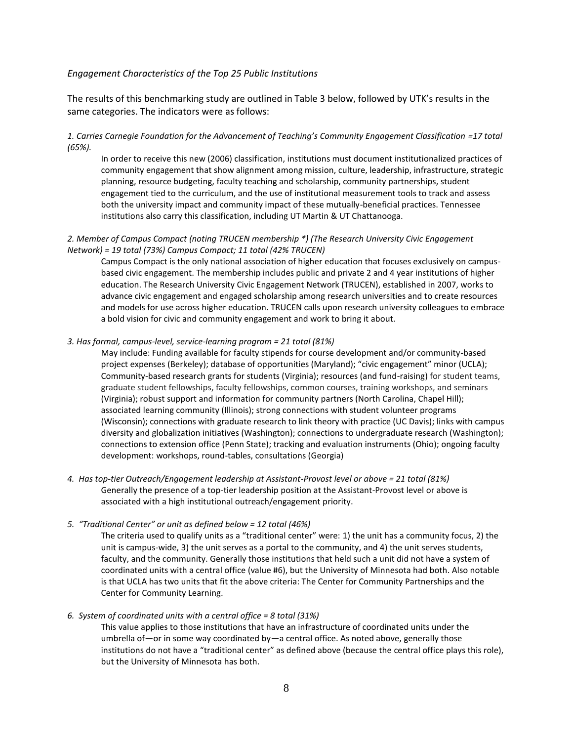#### *Engagement Characteristics of the Top 25 Public Institutions*

The results of this benchmarking study are outlined in Table 3 below, followed by UTK's results in the same categories. The indicators were as follows:

### *1. Carries Carnegie Foundation for the Advancement of Teaching's Community Engagement Classification =17 total (65%).*

In order to receive this new (2006) classification, institutions must document institutionalized practices of community engagement that show alignment among mission, culture, leadership, infrastructure, strategic planning, resource budgeting, faculty teaching and scholarship, community partnerships, student engagement tied to the curriculum, and the use of institutional measurement tools to track and assess both the university impact and community impact of these mutually-beneficial practices. Tennessee institutions also carry this classification, including UT Martin & UT Chattanooga.

#### *2. Member of Campus Compact (noting TRUCEN membership \*) (The Research University Civic Engagement Network) = 19 total (73%) Campus Compact; 11 total (42% TRUCEN)*

Campus Compact is the only national association of higher education that focuses exclusively on campusbased civic engagement. The membership includes public and private 2 and 4 year institutions of higher education. The Research University Civic Engagement Network (TRUCEN), established in 2007, works to advance civic engagement and engaged scholarship among research universities and to create resources and models for use across higher education. TRUCEN calls upon research university colleagues to embrace a bold vision for civic and community engagement and work to bring it about.

#### *3. Has formal, campus-level, service-learning program = 21 total (81%)*

May include: Funding available for faculty stipends for course development and/or community-based project expenses (Berkeley); database of opportunities (Maryland); "civic engagement" minor (UCLA); Community-based research grants for students (Virginia); resources (and fund-raising) for student teams, graduate student fellowships, faculty fellowships, common courses, training workshops, and seminars (Virginia); robust support and information for community partners (North Carolina, Chapel Hill); associated learning community (Illinois); strong connections with student volunteer programs (Wisconsin); connections with graduate research to link theory with practice (UC Davis); links with campus diversity and globalization initiatives (Washington); connections to undergraduate research (Washington); connections to extension office (Penn State); tracking and evaluation instruments (Ohio); ongoing faculty development: workshops, round-tables, consultations (Georgia)

*4. Has top-tier Outreach/Engagement leadership at Assistant-Provost level or above = 21 total (81%)* Generally the presence of a top-tier leadership position at the Assistant-Provost level or above is associated with a high institutional outreach/engagement priority.

#### *5. "Traditional Center" or unit as defined below = 12 total (46%)*

The criteria used to qualify units as a "traditional center" were: 1) the unit has a community focus, 2) the unit is campus-wide, 3) the unit serves as a portal to the community, and 4) the unit serves students, faculty, and the community. Generally those institutions that held such a unit did not have a system of coordinated units with a central office (value #6), but the University of Minnesota had both. Also notable is that UCLA has two units that fit the above criteria: The Center for Community Partnerships and the Center for Community Learning.

#### *6. System of coordinated units with a central office = 8 total (31%)*

This value applies to those institutions that have an infrastructure of coordinated units under the umbrella of—or in some way coordinated by—a central office. As noted above, generally those institutions do not have a "traditional center" as defined above (because the central office plays this role), but the University of Minnesota has both.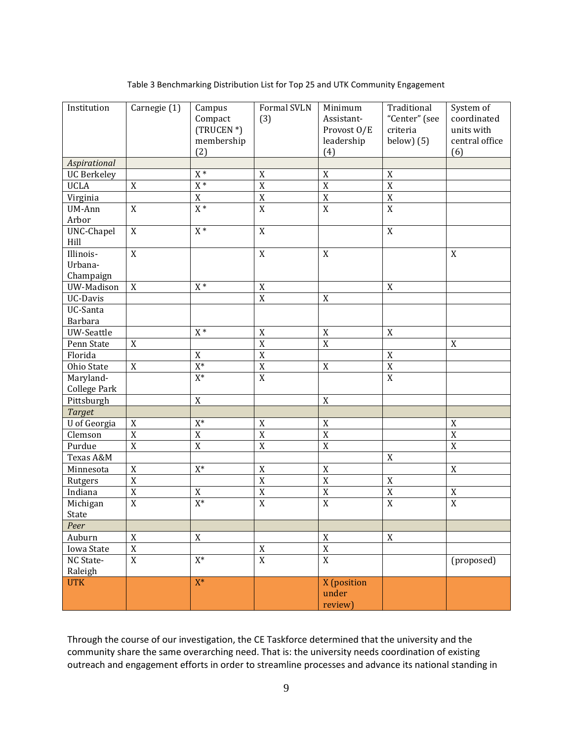| Institution         | Carnegie (1)          | Campus                 | Formal SVLN    | Minimum               | Traditional      | System of      |
|---------------------|-----------------------|------------------------|----------------|-----------------------|------------------|----------------|
|                     |                       | Compact                | (3)            | Assistant-            | "Center" (see    | coordinated    |
|                     |                       | (TRUCEN <sup>*</sup> ) |                | Provost O/E           | criteria         | units with     |
|                     |                       | membership             |                | leadership            | below $(5)$      | central office |
|                     |                       | (2)                    |                | (4)                   |                  | (6)            |
| Aspirational        |                       |                        |                |                       |                  |                |
| <b>UC Berkeley</b>  |                       | $\mathtt{X}$ $\ast$    | $\mathbf X$    | $\mathbf X$           | $\mathbf X$      |                |
| <b>UCLA</b>         | $\mathbf X$           | $\mathtt{X}$ *         | $\overline{X}$ | $\overline{\text{X}}$ | $\overline{X}$   |                |
| Virginia            |                       | $\mathbf X$            | $\overline{X}$ | $\frac{X}{X}$         | $\overline{X}$   |                |
| UM-Ann              | $\mathbf X$           | $X^*$                  | $\overline{X}$ |                       | $\overline{X}$   |                |
| Arbor               |                       |                        |                |                       |                  |                |
| UNC-Chapel          | $\mathbf X$           | $X^*$                  | $\mathbf X$    |                       | $\boldsymbol{X}$ |                |
| Hill                |                       |                        |                |                       |                  |                |
| Illinois-           | $\mathbf X$           |                        | $\mathbf X$    | $\mathbf X$           |                  | $\mathbf X$    |
| Urbana-             |                       |                        |                |                       |                  |                |
| Champaign           |                       |                        |                |                       |                  |                |
| UW-Madison          | $\mathbf X$           | $X^*$                  | $\mathbf X$    |                       | $\mathbf X$      |                |
| UC-Davis            |                       |                        | $\mathbf X$    | $\mathbf X$           |                  |                |
| UC-Santa            |                       |                        |                |                       |                  |                |
| Barbara             |                       |                        |                |                       |                  |                |
| UW-Seattle          |                       | $\mathtt{X}$ *         | $\mathbf X$    | $\mathbf X$           | $\mathbf X$      |                |
| Penn State          | $\mathbf X$           |                        | $\mathbf X$    | $\overline{X}$        |                  | $\mathbf X$    |
| Florida             |                       | $\mathbf X$            | $\mathbf X$    |                       | $\mathbf X$      |                |
| Ohio State          | $\mathbf X$           | $\overline{X^*}$       | $\mathbf X$    | $\mathbf X$           | $\mathbf X$      |                |
| Maryland-           |                       | $X^*$                  | $\overline{X}$ |                       | $\overline{X}$   |                |
| <b>College Park</b> |                       |                        |                |                       |                  |                |
| Pittsburgh          |                       | $\mathbf X$            |                | $\mathbf X$           |                  |                |
| <b>Target</b>       |                       |                        |                |                       |                  |                |
| U of Georgia        | $\mathbf X$           | $\mathrm{X}^*$         | $\mathbf X$    | $\mathbf X$           |                  | $\mathbf X$    |
| Clemson             | $\overline{\text{X}}$ | $\mathbf X$            | $\mathbf X$    | $\overline{\text{X}}$ |                  | $\mathbf X$    |
| Purdue              | $\overline{X}$        | $\overline{X}$         | $\mathbf X$    | $\overline{X}$        |                  | $\mathbf X$    |
| Texas A&M           |                       |                        |                |                       | $\boldsymbol{X}$ |                |
| Minnesota           | $\mathbf X$           | $X^*$                  | $\mathbf X$    | $\mathbf X$           |                  | X              |
| Rutgers             | $\overline{\text{X}}$ |                        | $\mathbf X$    | $\overline{\text{X}}$ | $\mathbf X$      |                |
| Indiana             | $\overline{X}$        | $\mathbf X$            | $\mathbf X$    | $\overline{X}$        | $\mathbf X$      | $\mathbf X$    |
| Michigan            | $\mathbf X$           | $\overline{X^*}$       | $\mathbf X$    | $\overline{X}$        | $\mathbf X$      | $\mathbf X$    |
| State               |                       |                        |                |                       |                  |                |
| Peer                |                       |                        |                |                       |                  |                |
| Auburn              | $\overline{X}$        | $\overline{X}$         |                | $\mathbf X$           | $\mathbf X$      |                |
| Iowa State          | $\overline{X}$        |                        | X              | $\overline{X}$        |                  |                |
| NC State-           | $\overline{X}$        | $X^*$                  | $\overline{X}$ | $\overline{X}$        |                  | (proposed)     |
| Raleigh             |                       |                        |                |                       |                  |                |
| <b>UTK</b>          |                       | $X^*$                  |                | X (position           |                  |                |
|                     |                       |                        |                | under                 |                  |                |
|                     |                       |                        |                | review)               |                  |                |

Table 3 Benchmarking Distribution List for Top 25 and UTK Community Engagement

Through the course of our investigation, the CE Taskforce determined that the university and the community share the same overarching need. That is: the university needs coordination of existing outreach and engagement efforts in order to streamline processes and advance its national standing in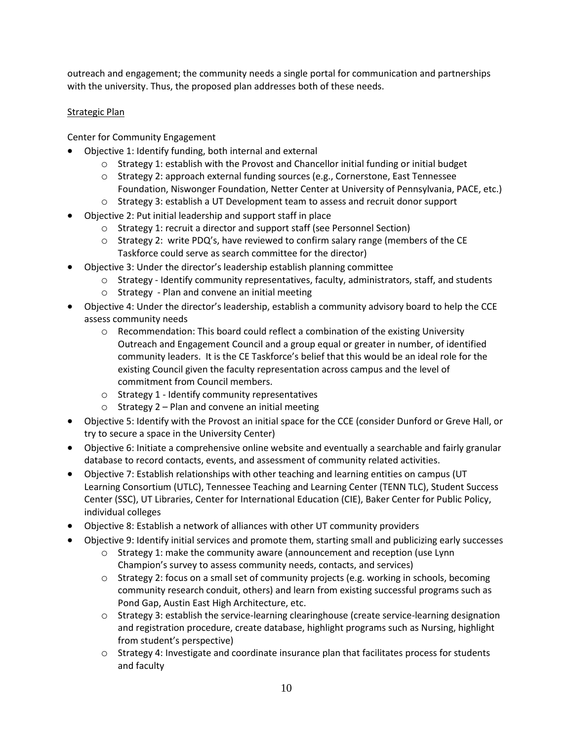outreach and engagement; the community needs a single portal for communication and partnerships with the university. Thus, the proposed plan addresses both of these needs.

# Strategic Plan

Center for Community Engagement

- Objective 1: Identify funding, both internal and external
	- o Strategy 1: establish with the Provost and Chancellor initial funding or initial budget
	- o Strategy 2: approach external funding sources (e.g., Cornerstone, East Tennessee Foundation, Niswonger Foundation, Netter Center at University of Pennsylvania, PACE, etc.)
	- o Strategy 3: establish a UT Development team to assess and recruit donor support
- Objective 2: Put initial leadership and support staff in place
	- o Strategy 1: recruit a director and support staff (see Personnel Section)
	- o Strategy 2: write PDQ's, have reviewed to confirm salary range (members of the CE Taskforce could serve as search committee for the director)
- Objective 3: Under the director's leadership establish planning committee
	- $\circ$  Strategy Identify community representatives, faculty, administrators, staff, and students
	- o Strategy Plan and convene an initial meeting
- Objective 4: Under the director's leadership, establish a community advisory board to help the CCE assess community needs
	- $\circ$  Recommendation: This board could reflect a combination of the existing University Outreach and Engagement Council and a group equal or greater in number, of identified community leaders. It is the CE Taskforce's belief that this would be an ideal role for the existing Council given the faculty representation across campus and the level of commitment from Council members.
	- o Strategy 1 Identify community representatives
	- o Strategy 2 Plan and convene an initial meeting
- Objective 5: Identify with the Provost an initial space for the CCE (consider Dunford or Greve Hall, or try to secure a space in the University Center)
- Objective 6: Initiate a comprehensive online website and eventually a searchable and fairly granular database to record contacts, events, and assessment of community related activities.
- Objective 7: Establish relationships with other teaching and learning entities on campus (UT Learning Consortium (UTLC), Tennessee Teaching and Learning Center (TENN TLC), Student Success Center (SSC), UT Libraries, Center for International Education (CIE), Baker Center for Public Policy, individual colleges
- Objective 8: Establish a network of alliances with other UT community providers
- Objective 9: Identify initial services and promote them, starting small and publicizing early successes
	- o Strategy 1: make the community aware (announcement and reception (use Lynn Champion's survey to assess community needs, contacts, and services)
	- $\circ$  Strategy 2: focus on a small set of community projects (e.g. working in schools, becoming community research conduit, others) and learn from existing successful programs such as Pond Gap, Austin East High Architecture, etc.
	- o Strategy 3: establish the service-learning clearinghouse (create service-learning designation and registration procedure, create database, highlight programs such as Nursing, highlight from student's perspective)
	- o Strategy 4: Investigate and coordinate insurance plan that facilitates process for students and faculty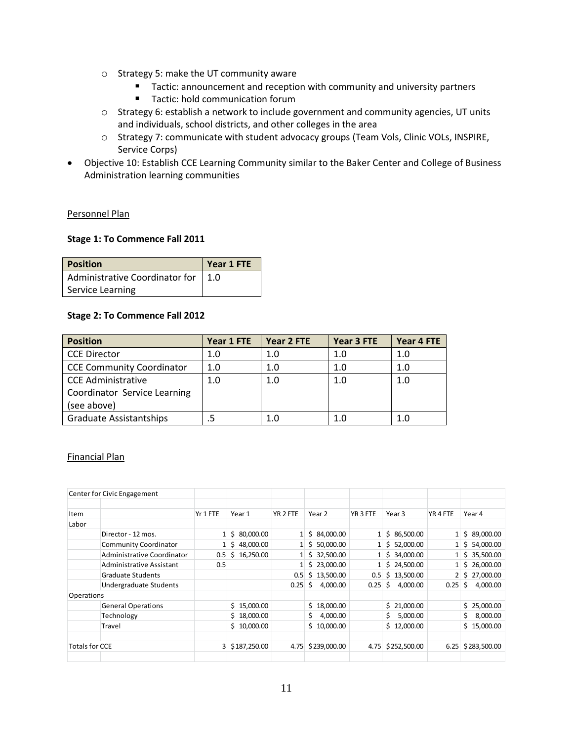- o Strategy 5: make the UT community aware
	- **Tactic: announcement and reception with community and university partners**
	- Tactic: hold communication forum
- o Strategy 6: establish a network to include government and community agencies, UT units and individuals, school districts, and other colleges in the area
- o Strategy 7: communicate with student advocacy groups (Team Vols, Clinic VOLs, INSPIRE, Service Corps)
- Objective 10: Establish CCE Learning Community similar to the Baker Center and College of Business Administration learning communities

## Personnel Plan

### **Stage 1: To Commence Fall 2011**

| <b>Position</b>                      | Year 1 FTE |
|--------------------------------------|------------|
| Administrative Coordinator for   1.0 |            |
| Service Learning                     |            |

## **Stage 2: To Commence Fall 2012**

| <b>Position</b>                  | Year 1 FTE | Year 2 FTE | Year 3 FTE | Year 4 FTE |
|----------------------------------|------------|------------|------------|------------|
| <b>CCE Director</b>              | 1.0        | 1.0        | 1.0        | 1.0        |
| <b>CCE Community Coordinator</b> | 1.0        | 1.0        | 1.0        | 1.0        |
| <b>CCE Administrative</b>        | 1.0        | 1.0        | 1.0        | 1.0        |
| Coordinator Service Learning     |            |            |            |            |
| (see above)                      |            |            |            |            |
| Graduate Assistantships          |            | 1.0        | 1.0        | 1.0        |

## Financial Plan

|                       | Center for Civic Engagement  |          |                 |          |                           |              |                |                     |                |
|-----------------------|------------------------------|----------|-----------------|----------|---------------------------|--------------|----------------|---------------------|----------------|
|                       |                              |          |                 |          |                           |              |                |                     |                |
| Item                  |                              | Yr 1 FTE | Year 1          | YR 2 FTE | Year 2                    | YR 3 FTE     | Year 3         | YR <sub>4</sub> FTE | Year 4         |
| Labor                 |                              |          |                 |          |                           |              |                |                     |                |
|                       | Director - 12 mos.           |          | 80,000.00<br>Ś. |          | \$84,000.00               | $\mathbf{1}$ | \$86,500.00    |                     | \$89,000.00    |
|                       | <b>Community Coordinator</b> |          | 48,000.00<br>S  |          | $1 \mid 5 \mid 50,000.00$ | $1 \vert$    | \$52,000.00    |                     | \$54,000.00    |
|                       | Administrative Coordinator   | 0.5      | 16,250.00<br>\$ |          | 32,500.00<br>Ś.           |              | \$34,000.00    |                     | \$35,500.00    |
|                       | Administrative Assistant     | 0.5      |                 |          | \$23,000.00               |              | \$24,500.00    |                     | \$26,000.00    |
|                       | <b>Graduate Students</b>     |          |                 | 0.5      | Ś.<br>13,500.00           | 0.5          | \$13,500.00    | $\overline{2}$      | \$27,000.00    |
|                       | Undergraduate Students       |          |                 | 0.25     | Ś.<br>4,000.00            | 0.25         | Ŝ.<br>4,000.00 | 0.25                | Ś.<br>4,000.00 |
| Operations            |                              |          |                 |          |                           |              |                |                     |                |
|                       | <b>General Operations</b>    |          | \$15,000.00     |          | Ś.<br>18,000.00           |              | \$21,000.00    |                     | \$25,000.00    |
|                       | Technology                   |          | \$18,000.00     |          | \$<br>4,000.00            |              | 5,000.00<br>Ś. |                     | 8,000.00<br>Ś. |
|                       | Travel                       |          | \$10,000.00     |          | 10,000.00<br>Ś.           |              | \$12,000.00    |                     | \$15,000.00    |
|                       |                              |          |                 |          |                           |              |                |                     |                |
| <b>Totals for CCE</b> |                              | 3        | \$187,250.00    | 4.75     | \$239,000.00              | 4.75         | \$252,500.00   | 6.25                | \$283,500.00   |
|                       |                              |          |                 |          |                           |              |                |                     |                |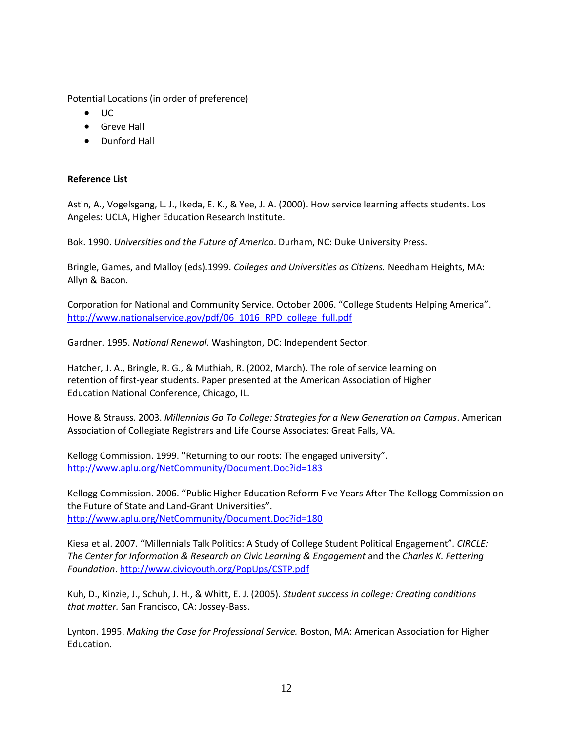Potential Locations (in order of preference)

- UC
- **•** Greve Hall
- Dunford Hall

# **Reference List**

Astin, A., Vogelsgang, L. J., Ikeda, E. K., & Yee, J. A. (2000). How service learning affects students. Los Angeles: UCLA, Higher Education Research Institute.

Bok. 1990. *Universities and the Future of America*. Durham, NC: Duke University Press.

Bringle, Games, and Malloy (eds).1999. *Colleges and Universities as Citizens.* Needham Heights, MA: Allyn & Bacon.

Corporation for National and Community Service. October 2006. "College Students Helping America". [http://www.nationalservice.gov/pdf/06\\_1016\\_RPD\\_college\\_full.pdf](http://www.nationalservice.gov/pdf/06_1016_RPD_college_full.pdf)

Gardner. 1995. *National Renewal.* Washington, DC: Independent Sector.

Hatcher, J. A., Bringle, R. G., & Muthiah, R. (2002, March). The role of service learning on retention of first-year students. Paper presented at the American Association of Higher Education National Conference, Chicago, IL.

Howe & Strauss. 2003. *Millennials Go To College: Strategies for a New Generation on Campus*. American Association of Collegiate Registrars and Life Course Associates: Great Falls, VA.

Kellogg Commission. 1999. "Returning to our roots: The engaged university". <http://www.aplu.org/NetCommunity/Document.Doc?id=183>

Kellogg Commission. 2006. "Public Higher Education Reform Five Years After The Kellogg Commission on the Future of State and Land-Grant Universities". <http://www.aplu.org/NetCommunity/Document.Doc?id=180>

Kiesa et al. 2007. "Millennials Talk Politics: A Study of College Student Political Engagement". *CIRCLE: The Center for Information & Research on Civic Learning & Engagement* and the *Charles K. Fettering Foundation*.<http://www.civicyouth.org/PopUps/CSTP.pdf>

Kuh, D., Kinzie, J., Schuh, J. H., & Whitt, E. J. (2005). *Student success in college: Creating conditions that matter.* San Francisco, CA: Jossey-Bass.

Lynton. 1995. *Making the Case for Professional Service.* Boston, MA: American Association for Higher Education.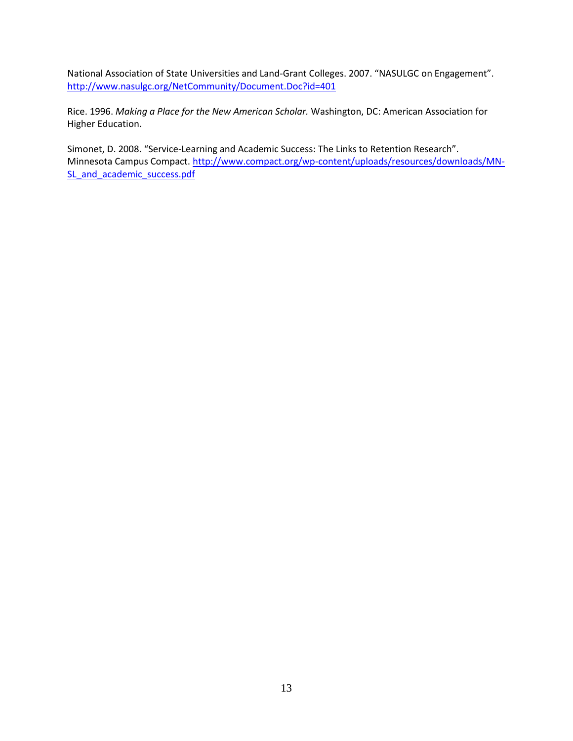National Association of State Universities and Land-Grant Colleges. 2007. "NASULGC on Engagement". <http://www.nasulgc.org/NetCommunity/Document.Doc?id=401>

Rice. 1996. *Making a Place for the New American Scholar.* Washington, DC: American Association for Higher Education.

Simonet, D. 2008. "Service-Learning and Academic Success: The Links to Retention Research". Minnesota Campus Compact. [http://www.compact.org/wp-content/uploads/resources/downloads/MN-](http://www.compact.org/wp-content/uploads/resources/downloads/MN-SL_and_academic_success.pdf)SL and academic success.pdf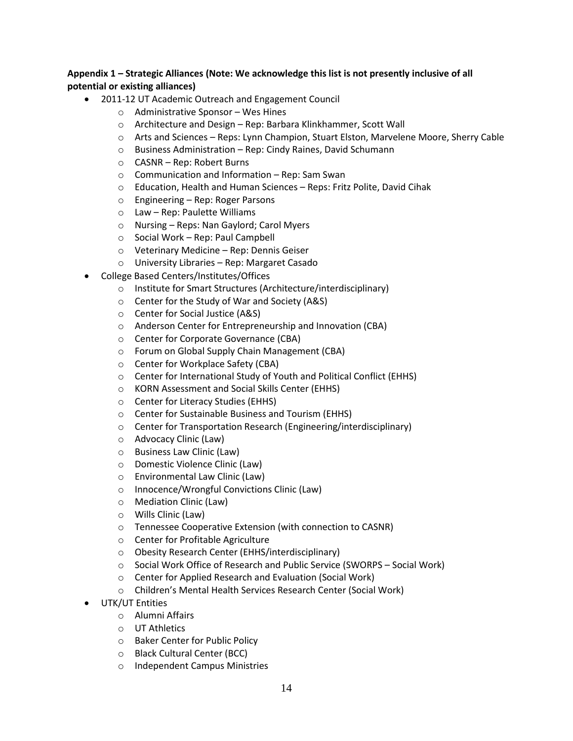# **Appendix 1 – Strategic Alliances (Note: We acknowledge this list is not presently inclusive of all potential or existing alliances)**

- 2011-12 UT Academic Outreach and Engagement Council
	- o Administrative Sponsor Wes Hines
	- o Architecture and Design Rep: Barbara Klinkhammer, Scott Wall
	- o Arts and Sciences Reps: Lynn Champion, Stuart Elston, Marvelene Moore, Sherry Cable
	- o Business Administration Rep: Cindy Raines, David Schumann
	- o CASNR Rep: Robert Burns
	- o Communication and Information Rep: Sam Swan
	- o Education, Health and Human Sciences Reps: Fritz Polite, David Cihak
	- o Engineering Rep: Roger Parsons
	- o Law Rep: Paulette Williams
	- o Nursing Reps: Nan Gaylord; Carol Myers
	- o Social Work Rep: Paul Campbell
	- o Veterinary Medicine Rep: Dennis Geiser
	- o University Libraries Rep: Margaret Casado
- College Based Centers/Institutes/Offices
	- o Institute for Smart Structures (Architecture/interdisciplinary)
	- o Center for the Study of War and Society (A&S)
	- o Center for Social Justice (A&S)
	- o Anderson Center for Entrepreneurship and Innovation (CBA)
	- o Center for Corporate Governance (CBA)
	- o Forum on Global Supply Chain Management (CBA)
	- o Center for Workplace Safety (CBA)
	- o Center for International Study of Youth and Political Conflict (EHHS)
	- o KORN Assessment and Social Skills Center (EHHS)
	- o Center for Literacy Studies (EHHS)
	- o Center for Sustainable Business and Tourism (EHHS)
	- o Center for Transportation Research (Engineering/interdisciplinary)
	- o Advocacy Clinic (Law)
	- o Business Law Clinic (Law)
	- o Domestic Violence Clinic (Law)
	- o Environmental Law Clinic (Law)
	- o Innocence/Wrongful Convictions Clinic (Law)
	- o Mediation Clinic (Law)
	- o Wills Clinic (Law)
	- o Tennessee Cooperative Extension (with connection to CASNR)
	- o Center for Profitable Agriculture
	- o Obesity Research Center (EHHS/interdisciplinary)
	- o Social Work Office of Research and Public Service (SWORPS Social Work)
	- o Center for Applied Research and Evaluation (Social Work)
	- o Children's Mental Health Services Research Center (Social Work)
- UTK/UT Entities
	- o Alumni Affairs
	- o UT Athletics
	- o Baker Center for Public Policy
	- o Black Cultural Center (BCC)
	- o Independent Campus Ministries